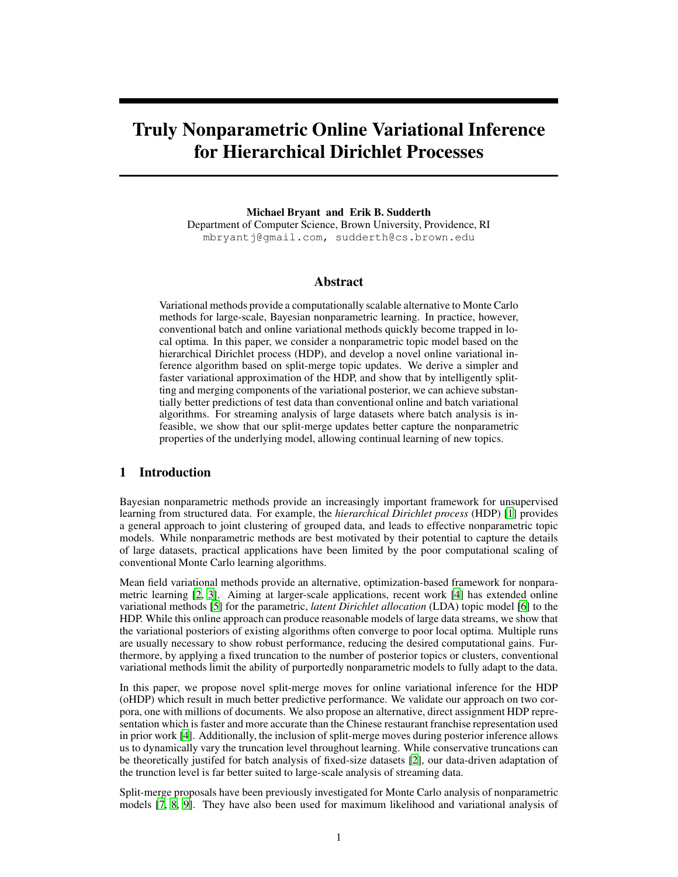# Truly Nonparametric Online Variational Inference for Hierarchical Dirichlet Processes

Michael Bryant and Erik B. Sudderth Department of Computer Science, Brown University, Providence, RI mbryantj@gmail.com, sudderth@cs.brown.edu

# Abstract

Variational methods provide a computationally scalable alternative to Monte Carlo methods for large-scale, Bayesian nonparametric learning. In practice, however, conventional batch and online variational methods quickly become trapped in local optima. In this paper, we consider a nonparametric topic model based on the hierarchical Dirichlet process (HDP), and develop a novel online variational inference algorithm based on split-merge topic updates. We derive a simpler and faster variational approximation of the HDP, and show that by intelligently splitting and merging components of the variational posterior, we can achieve substantially better predictions of test data than conventional online and batch variational algorithms. For streaming analysis of large datasets where batch analysis is infeasible, we show that our split-merge updates better capture the nonparametric properties of the underlying model, allowing continual learning of new topics.

# 1 Introduction

Bayesian nonparametric methods provide an increasingly important framework for unsupervised learning from structured data. For example, the *hierarchical Dirichlet process* (HDP) [1] provides a general approach to joint clustering of grouped data, and leads to effective nonparametric topic models. While nonparametric methods are best motivated by their potential to capture the details of large datasets, practical applications have been limited by the poor computational scaling of conventional Monte Carlo learning algorithms.

Mean field variational methods provide an alternative, optimization-based framework for nonparametric learning [2, 3]. Aiming at larger-scale applications, recent work [4] has extended online variational methods [5] for the parametric, *latent Dirichlet allocation* (LDA) topic model [6] to the HDP. While this online approach can produce reasonable models of large data streams, we show that the variational posteriors of existing algorithms often converge to poor local optima. Multiple runs are usually necessary to show robust performance, reducing the desired computational gains. Furthermore, by applying a fixed truncation to the number of posterior topics or clusters, conventional variational methods limit the ability of purportedly nonparametric models to fully adapt to the data.

In this paper, we propose novel split-merge moves for online variational inference for the HDP (oHDP) which result in much better predictive performance. We validate our approach on two corpora, one with millions of documents. We also propose an alternative, direct assignment HDP representation which is faster and more accurate than the Chinese restaurant franchise representation used in prior work [4]. Additionally, the inclusion of split-merge moves during posterior inference allows us to dynamically vary the truncation level throughout learning. While conservative truncations can be theoretically justifed for batch analysis of fixed-size datasets [2], our data-driven adaptation of the trunction level is far better suited to large-scale analysis of streaming data.

Split-merge proposals have been previously investigated for Monte Carlo analysis of nonparametric models [7, 8, 9]. They have also been used for maximum likelihood and variational analysis of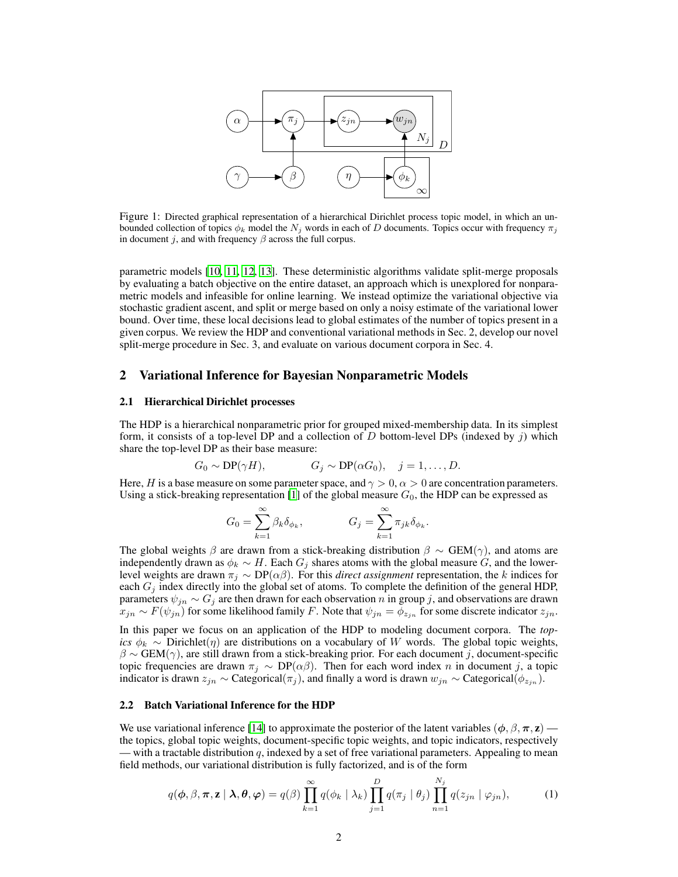

Figure 1: Directed graphical representation of a hierarchical Dirichlet process topic model, in which an unbounded collection of topics  $\phi_k$  model the N<sub>j</sub> words in each of D documents. Topics occur with frequency  $\pi_j$ in document *j*, and with frequency  $\beta$  across the full corpus.

parametric models [10, 11, 12, 13]. These deterministic algorithms validate split-merge proposals by evaluating a batch objective on the entire dataset, an approach which is unexplored for nonparametric models and infeasible for online learning. We instead optimize the variational objective via stochastic gradient ascent, and split or merge based on only a noisy estimate of the variational lower bound. Over time, these local decisions lead to global estimates of the number of topics present in a given corpus. We review the HDP and conventional variational methods in Sec. 2, develop our novel split-merge procedure in Sec. 3, and evaluate on various document corpora in Sec. 4.

#### 2 Variational Inference for Bayesian Nonparametric Models

#### 2.1 Hierarchical Dirichlet processes

The HDP is a hierarchical nonparametric prior for grouped mixed-membership data. In its simplest form, it consists of a top-level DP and a collection of  $D$  bottom-level DPs (indexed by  $j$ ) which share the top-level DP as their base measure:

$$
G_0 \sim \text{DP}(\gamma H),
$$
  $G_j \sim \text{DP}(\alpha G_0), \quad j = 1, \ldots, D.$ 

Here, H is a base measure on some parameter space, and  $\gamma > 0$ ,  $\alpha > 0$  are concentration parameters. Using a stick-breaking representation [1] of the global measure  $G_0$ , the HDP can be expressed as

$$
G_0 = \sum_{k=1}^{\infty} \beta_k \delta_{\phi_k}, \qquad G_j = \sum_{k=1}^{\infty} \pi_{jk} \delta_{\phi_k}.
$$

The global weights  $\beta$  are drawn from a stick-breaking distribution  $\beta \sim \text{GEM}(\gamma)$ , and atoms are independently drawn as  $\phi_k \sim H$ . Each  $G_j$  shares atoms with the global measure G, and the lowerlevel weights are drawn  $\pi_j \sim DP(\alpha\beta)$ . For this *direct assignment* representation, the k indices for each  $G_j$  index directly into the global set of atoms. To complete the definition of the general HDP, parameters  $\psi_{jn} \sim G_j$  are then drawn for each observation n in group j, and observations are drawn  $x_{jn} \sim F(\psi_{jn})$  for some likelihood family F. Note that  $\psi_{jn} = \phi_{z_{jn}}$  for some discrete indicator  $z_{jn}$ .

In this paper we focus on an application of the HDP to modeling document corpora. The *topics*  $\phi_k \sim$  Dirichlet( $\eta$ ) are distributions on a vocabulary of W words. The global topic weights,  $\beta \sim \text{GEM}(\gamma)$ , are still drawn from a stick-breaking prior. For each document j, document-specific topic frequencies are drawn  $\pi_j \sim DP(\alpha\beta)$ . Then for each word index n in document j, a topic indicator is drawn  $z_{jn} \sim$  Categorical( $\pi_j$ ), and finally a word is drawn  $w_{jn} \sim$  Categorical( $\phi_{z_{jn}}$ ).

## 2.2 Batch Variational Inference for the HDP

We use variational inference [14] to approximate the posterior of the latent variables ( $\phi$ ,  $\beta$ ,  $\pi$ ,  $z$ ) the topics, global topic weights, document-specific topic weights, and topic indicators, respectively — with a tractable distribution q, indexed by a set of free variational parameters. Appealing to mean field methods, our variational distribution is fully factorized, and is of the form

$$
q(\boldsymbol{\phi}, \boldsymbol{\beta}, \boldsymbol{\pi}, \mathbf{z} \mid \boldsymbol{\lambda}, \boldsymbol{\theta}, \boldsymbol{\varphi}) = q(\boldsymbol{\beta}) \prod_{k=1}^{\infty} q(\phi_k \mid \lambda_k) \prod_{j=1}^{D} q(\pi_j \mid \theta_j) \prod_{n=1}^{N_j} q(z_{jn} \mid \varphi_{jn}), \qquad (1)
$$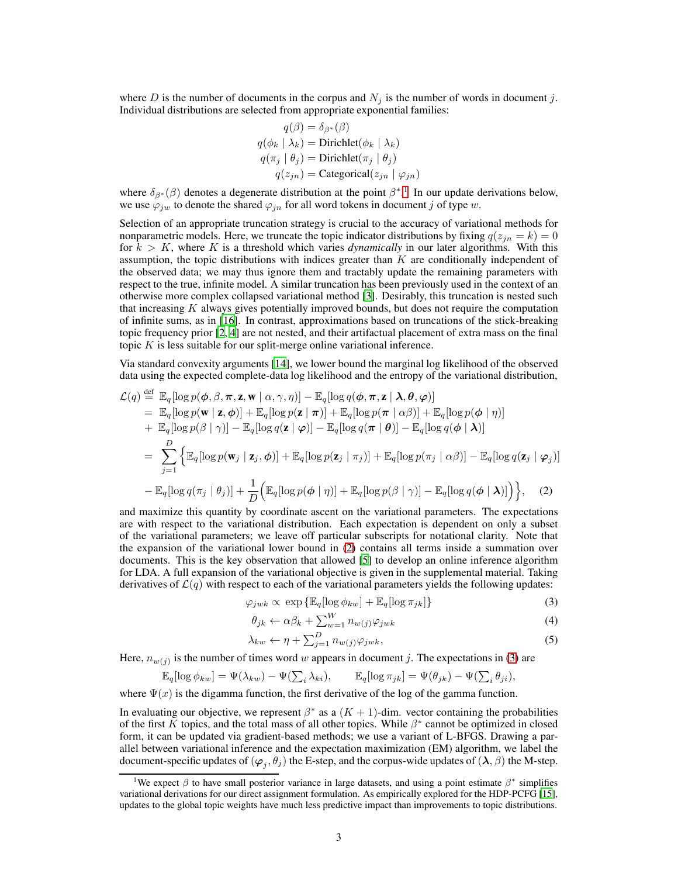where D is the number of documents in the corpus and  $N_i$  is the number of words in document j. Individual distributions are selected from appropriate exponential families:

$$
q(\beta) = \delta_{\beta^*}(\beta)
$$
  
 
$$
q(\phi_k | \lambda_k) = \text{Dirichlet}(\phi_k | \lambda_k)
$$
  
 
$$
q(\pi_j | \theta_j) = \text{Dirichlet}(\pi_j | \theta_j)
$$
  
 
$$
q(z_{jn}) = \text{Categorical}(z_{jn} | \varphi_{jn})
$$

where  $\delta_{\beta^*}(\beta)$  denotes a degenerate distribution at the point  $\beta^*$ .<sup>1</sup> In our update derivations below, we use  $\varphi_{jw}$  to denote the shared  $\varphi_{jn}$  for all word tokens in document j of type w.

Selection of an appropriate truncation strategy is crucial to the accuracy of variational methods for nonparametric models. Here, we truncate the topic indicator distributions by fixing  $q(z_{in} = k) = 0$ for  $k > K$ , where K is a threshold which varies *dynamically* in our later algorithms. With this assumption, the topic distributions with indices greater than  $K$  are conditionally independent of the observed data; we may thus ignore them and tractably update the remaining parameters with respect to the true, infinite model. A similar truncation has been previously used in the context of an otherwise more complex collapsed variational method [3]. Desirably, this truncation is nested such that increasing  $K$  always gives potentially improved bounds, but does not require the computation of infinite sums, as in [16]. In contrast, approximations based on truncations of the stick-breaking topic frequency prior [2, 4] are not nested, and their artifactual placement of extra mass on the final topic  $K$  is less suitable for our split-merge online variational inference.

Via standard convexity arguments [14], we lower bound the marginal log likelihood of the observed data using the expected complete-data log likelihood and the entropy of the variational distribution,

$$
\mathcal{L}(q) \stackrel{\text{def}}{=} \mathbb{E}_{q}[\log p(\boldsymbol{\phi}, \beta, \boldsymbol{\pi}, \mathbf{z}, \mathbf{w} \mid \alpha, \gamma, \eta)] - \mathbb{E}_{q}[\log q(\boldsymbol{\phi}, \boldsymbol{\pi}, \mathbf{z} \mid \mathbf{\lambda}, \boldsymbol{\theta}, \boldsymbol{\varphi})]
$$
\n
$$
= \mathbb{E}_{q}[\log p(\mathbf{w} \mid \mathbf{z}, \boldsymbol{\phi})] + \mathbb{E}_{q}[\log p(\mathbf{z} \mid \boldsymbol{\pi})] + \mathbb{E}_{q}[\log p(\boldsymbol{\pi} \mid \alpha \beta)] + \mathbb{E}_{q}[\log p(\boldsymbol{\phi} \mid \eta)]
$$
\n
$$
+ \mathbb{E}_{q}[\log p(\beta \mid \gamma)] - \mathbb{E}_{q}[\log q(\mathbf{z} \mid \boldsymbol{\varphi})] - \mathbb{E}_{q}[\log q(\boldsymbol{\pi} \mid \boldsymbol{\theta})] - \mathbb{E}_{q}[\log q(\boldsymbol{\phi} \mid \mathbf{\lambda})]
$$
\n
$$
= \sum_{j=1}^{D} \left\{ \mathbb{E}_{q}[\log p(\mathbf{w}_{j} \mid \mathbf{z}_{j}, \boldsymbol{\phi})] + \mathbb{E}_{q}[\log p(\mathbf{z}_{j} \mid \pi_{j})] + \mathbb{E}_{q}[\log p(\pi_{j} \mid \alpha \beta)] - \mathbb{E}_{q}[\log q(\mathbf{z}_{j} \mid \boldsymbol{\varphi}_{j})] \right.
$$
\n
$$
- \mathbb{E}_{q}[\log q(\pi_{j} \mid \theta_{j})] + \frac{1}{D} \left( \mathbb{E}_{q}[\log p(\boldsymbol{\phi} \mid \eta)] + \mathbb{E}_{q}[\log p(\beta \mid \gamma)] - \mathbb{E}_{q}[\log q(\boldsymbol{\phi} \mid \mathbf{\lambda})] \right) \right\}, \quad (2)
$$

and maximize this quantity by coordinate ascent on the variational parameters. The expectations are with respect to the variational distribution. Each expectation is dependent on only a subset of the variational parameters; we leave off particular subscripts for notational clarity. Note that the expansion of the variational lower bound in (2) contains all terms inside a summation over documents. This is the key observation that allowed [5] to develop an online inference algorithm for LDA. A full expansion of the variational objective is given in the supplemental material. Taking derivatives of  $\mathcal{L}(q)$  with respect to each of the variational parameters yields the following updates:

$$
\varphi_{jwk} \propto \exp\{\mathbb{E}_q[\log \phi_{kw}] + \mathbb{E}_q[\log \pi_{jk}]\}\tag{3}
$$

$$
\theta_{jk} \leftarrow \alpha \beta_k + \sum_{w=1}^{W} n_{w(j)} \varphi_{jwk} \tag{4}
$$

$$
\lambda_{kw} \leftarrow \eta + \sum_{j=1}^{D} n_{w(j)} \varphi_{jwk},\tag{5}
$$

Here,  $n_{w(j)}$  is the number of times word w appears in document j. The expectations in (3) are

$$
\mathbb{E}_q[\log \phi_{kw}] = \Psi(\lambda_{kw}) - \Psi(\sum_i \lambda_{ki}), \qquad \mathbb{E}_q[\log \pi_{jk}] = \Psi(\theta_{jk}) - \Psi(\sum_i \theta_{ji}),
$$

where  $\Psi(x)$  is the digamma function, the first derivative of the log of the gamma function.

In evaluating our objective, we represent  $\beta^*$  as a  $(K + 1)$ -dim. vector containing the probabilities of the first K topics, and the total mass of all other topics. While  $\beta^*$  cannot be optimized in closed form, it can be updated via gradient-based methods; we use a variant of L-BFGS. Drawing a parallel between variational inference and the expectation maximization (EM) algorithm, we label the document-specific updates of  $(\varphi_j, \theta_j)$  the E-step, and the corpus-wide updates of  $(\lambda, \beta)$  the M-step.

<sup>&</sup>lt;sup>1</sup>We expect  $\beta$  to have small posterior variance in large datasets, and using a point estimate  $\beta^*$  simplifies variational derivations for our direct assignment formulation. As empirically explored for the HDP-PCFG [15], updates to the global topic weights have much less predictive impact than improvements to topic distributions.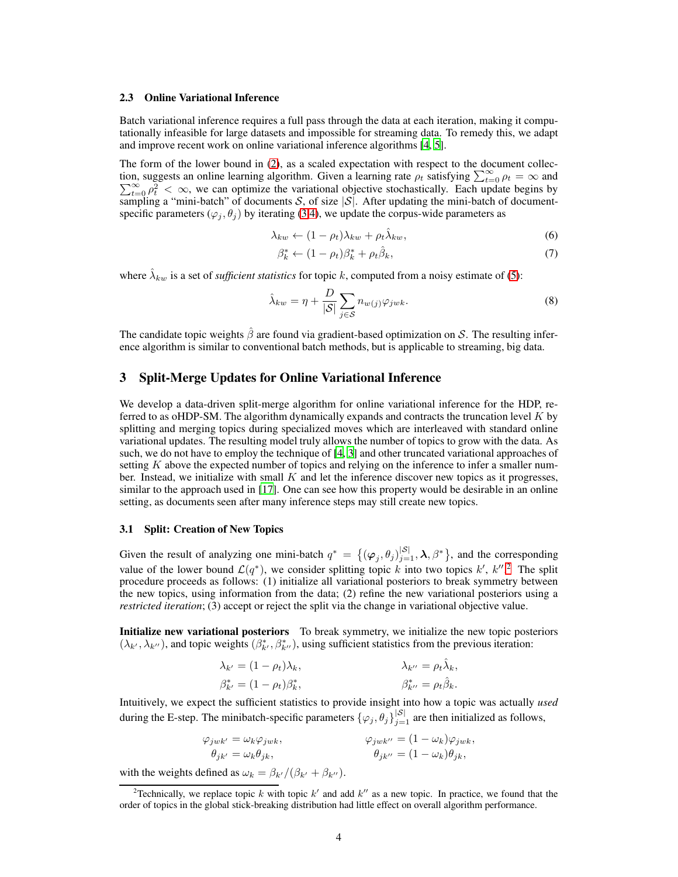#### 2.3 Online Variational Inference

Batch variational inference requires a full pass through the data at each iteration, making it computationally infeasible for large datasets and impossible for streaming data. To remedy this, we adapt and improve recent work on online variational inference algorithms [4, 5].

The form of the lower bound in (2), as a scaled expectation with respect to the document collection, suggests an online learning algorithm. Given a learning rate  $\rho_t$  satisfying  $\sum_{t=0}^{\infty} \rho_t = \infty$  and  $\sum_{t=0}^{\infty} \rho_t^2 < \infty$ , we can optimize the variational objective stochastically. Each update begins by sampling a "mini-batch" of documents S, of size  $|S|$ . After updating the mini-batch of documentspecific parameters ( $\varphi_i$ ,  $\theta_j$ ) by iterating (3,4), we update the corpus-wide parameters as

$$
\lambda_{kw} \leftarrow (1 - \rho_t) \lambda_{kw} + \rho_t \hat{\lambda}_{kw}, \tag{6}
$$

$$
\beta_k^* \leftarrow (1 - \rho_t)\beta_k^* + \rho_t \hat{\beta}_k,\tag{7}
$$

where  $\hat{\lambda}_{kw}$  is a set of *sufficient statistics* for topic k, computed from a noisy estimate of (5):

$$
\hat{\lambda}_{kw} = \eta + \frac{D}{|\mathcal{S}|} \sum_{j \in \mathcal{S}} n_{w(j)} \varphi_{jwk}.
$$
\n(8)

The candidate topic weights  $\hat{\beta}$  are found via gradient-based optimization on S. The resulting inference algorithm is similar to conventional batch methods, but is applicable to streaming, big data.

# 3 Split-Merge Updates for Online Variational Inference

We develop a data-driven split-merge algorithm for online variational inference for the HDP, referred to as oHDP-SM. The algorithm dynamically expands and contracts the truncation level  $K$  by splitting and merging topics during specialized moves which are interleaved with standard online variational updates. The resulting model truly allows the number of topics to grow with the data. As such, we do not have to employ the technique of [4, 3] and other truncated variational approaches of setting  $K$  above the expected number of topics and relying on the inference to infer a smaller number. Instead, we initialize with small  $K$  and let the inference discover new topics as it progresses, similar to the approach used in [17]. One can see how this property would be desirable in an online setting, as documents seen after many inference steps may still create new topics.

#### 3.1 Split: Creation of New Topics

Given the result of analyzing one mini-batch  $q^* = \{(\varphi_j, \theta_j)_{j=1}^{|S|}, \lambda, \beta^*\}$ , and the corresponding value of the lower bound  $\mathcal{L}(q^*)$ , we consider splitting topic k into two topics  $k'$ ,  $k''$ .<sup>2</sup> The split procedure proceeds as follows: (1) initialize all variational posteriors to break symmetry between the new topics, using information from the data; (2) refine the new variational posteriors using a *restricted iteration*; (3) accept or reject the split via the change in variational objective value.

Initialize new variational posteriors To break symmetry, we initialize the new topic posteriors  $(\lambda_{k'}, \lambda_{k''})$ , and topic weights  $(\beta_{k'}^*, \beta_{k''}^*)$ , using sufficient statistics from the previous iteration:

$$
\lambda_{k'} = (1 - \rho_t)\lambda_k, \qquad \lambda_{k''} = \rho_t \hat{\lambda}_k, \n\beta_{k'}^* = (1 - \rho_t)\beta_k^*, \qquad \beta_{k''}^* = \rho_t \hat{\beta}_k.
$$

Intuitively, we expect the sufficient statistics to provide insight into how a topic was actually *used* during the E-step. The minibatch-specific parameters  $\{\varphi_j, \theta_j\}_{j=1}^{|S|}$  are then initialized as follows,

$$
\varphi_{jwk'} = \omega_k \varphi_{jwk},
$$
  
\n
$$
\varphi_{jwk''} = (1 - \omega_k) \varphi_{jwk},
$$
  
\n
$$
\varphi_{jk'} = (\omega_k) \varphi_{jk},
$$
  
\n
$$
\varphi_{jk''} = (1 - \omega_k) \varphi_{jk},
$$

with the weights defined as  $\omega_k = \beta_{k'}/(\beta_{k'} + \beta_{k''})$ .

<sup>&</sup>lt;sup>2</sup>Technically, we replace topic k with topic k' and add k'' as a new topic. In practice, we found that the order of topics in the global stick-breaking distribution had little effect on overall algorithm performance.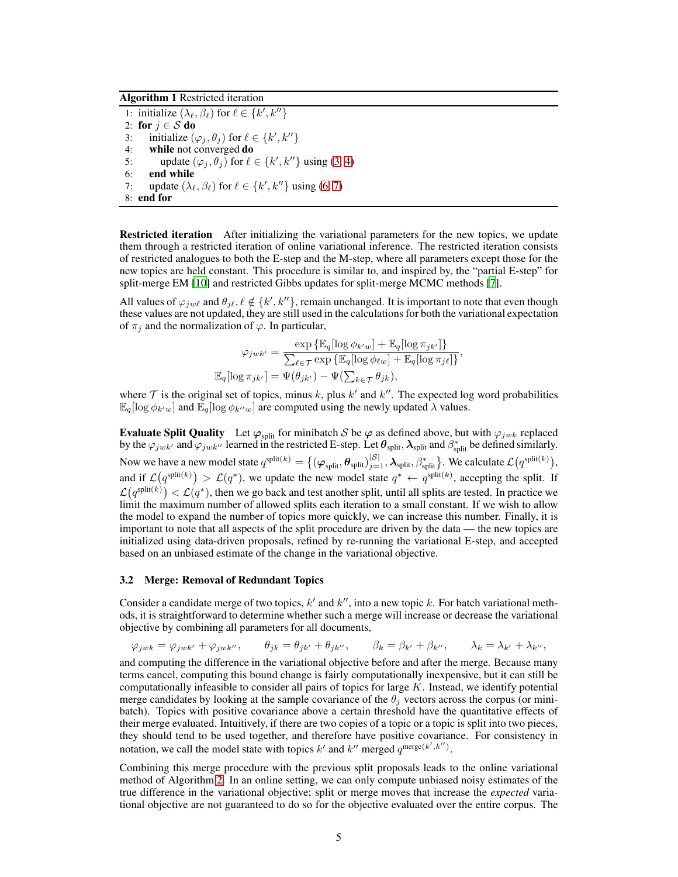# Algorithm 1 Restricted iteration

1: initialize  $(\lambda_{\ell}, \beta_{\ell})$  for  $\ell \in \{k', k''\}$ 2: for  $j \in S$  do 3: initialize  $(\varphi_j, \theta_j)$  for  $\ell \in \{k', k''\}$ 4: while not converged do 5: update  $(\varphi_j, \theta_j)$  for  $\ell \in \{k', k''\}$  using (3, 4) 6: end while 7: update  $(\lambda_{\ell}, \beta_{\ell})$  for  $\ell \in \{k', k''\}$  using (6, 7) 8: end for

**Restricted iteration** After initializing the variational parameters for the new topics, we update them through a restricted iteration of online variational inference. The restricted iteration consists of restricted analogues to both the E-step and the M-step, where all parameters except those for the new topics are held constant. This procedure is similar to, and inspired by, the "partial E-step" for split-merge EM [10] and restricted Gibbs updates for split-merge MCMC methods [7].

All values of  $\varphi_{jw\ell}$  and  $\theta_{j\ell}, \ell \notin \{k', k''\}$ , remain unchanged. It is important to note that even though these values are not updated, they are still used in the calculations for both the variational expectation of  $\pi_i$  and the normalization of  $\varphi$ . In particular,

$$
\varphi_{jwk'} = \frac{\exp\left\{\mathbb{E}_q[\log \phi_{k'w}] + \mathbb{E}_q[\log \pi_{jk'}]\right\}}{\sum_{\ell \in \mathcal{T}} \exp\left\{\mathbb{E}_q[\log \phi_{\ell w}] + \mathbb{E}_q[\log \pi_{j\ell}]\right\}},
$$
  

$$
\mathbb{E}_q[\log \pi_{jk'}] = \Psi(\theta_{jk'}) - \Psi(\sum_{k \in \mathcal{T}} \theta_{jk}),
$$

where  $\mathcal T$  is the original set of topics, minus k, plus k' and k''. The expected log word probabilities  $\mathbb{E}_q[\log \phi_{k'w}]$  and  $\mathbb{E}_q[\log \phi_{k''w}]$  are computed using the newly updated  $\lambda$  values.

**Evaluate Split Quality** Let  $\varphi_{split}$  for minibatch S be  $\varphi$  as defined above, but with  $\varphi_{jwk}$  replaced by the  $\varphi_{jwk'}$  and  $\varphi_{jwk''}$  learned in the restricted E-step. Let  $\theta_{split}$ ,  $\lambda_{split}$  and  $\beta_{split}^*$  be defined similarly. Now we have a new model state  $q^{\text{split}(k)} = \big\{(\boldsymbol{\varphi}_{\text{split}}, \boldsymbol{\theta}_{\text{split}})|^{|\mathcal{S}|}_{j=1}, \boldsymbol{\lambda}_{\text{split}}, \beta^*_{\text{split}}\big\}.$  We calculate  $\mathcal{L}\big(q^{\text{split}(k)}\big),$ and if  $\mathcal{L}(q^{\text{split}(k)}) > \mathcal{L}(q^*)$ , we update the new model state  $q^* \leftarrow q^{\text{split}(k)}$ , accepting the split. If  $\mathcal{L}(q^{\text{split}(k)}) < \mathcal{L}(q^*)$ , then we go back and test another split, until all splits are tested. In practice we limit the maximum number of allowed splits each iteration to a small constant. If we wish to allow the model to expand the number of topics more quickly, we can increase this number. Finally, it is important to note that all aspects of the split procedure are driven by the data — the new topics are initialized using data-driven proposals, refined by re-running the variational E-step, and accepted based on an unbiased estimate of the change in the variational objective.

#### 3.2 Merge: Removal of Redundant Topics

Consider a candidate merge of two topics,  $k'$  and  $k''$ , into a new topic k. For batch variational methods, it is straightforward to determine whether such a merge will increase or decrease the variational objective by combining all parameters for all documents,

$$
\varphi_{jwk} = \varphi_{jwk'} + \varphi_{jwk''}, \qquad \theta_{jk} = \theta_{jk'} + \theta_{jk''}, \qquad \beta_k = \beta_{k'} + \beta_{k''}, \qquad \lambda_k = \lambda_{k'} + \lambda_{k''},
$$

and computing the difference in the variational objective before and after the merge. Because many terms cancel, computing this bound change is fairly computationally inexpensive, but it can still be computationally infeasible to consider all pairs of topics for large  $K$ . Instead, we identify potential merge candidates by looking at the sample covariance of the  $\theta_j$  vectors across the corpus (or minibatch). Topics with positive covariance above a certain threshold have the quantitative effects of their merge evaluated. Intuitively, if there are two copies of a topic or a topic is split into two pieces, they should tend to be used together, and therefore have positive covariance. For consistency in notation, we call the model state with topics k' and k'' merged  $q^{\text{merge}(k',k'')}$ .

Combining this merge procedure with the previous split proposals leads to the online variational method of Algorithm 2. In an online setting, we can only compute unbiased noisy estimates of the true difference in the variational objective; split or merge moves that increase the *expected* variational objective are not guaranteed to do so for the objective evaluated over the entire corpus. The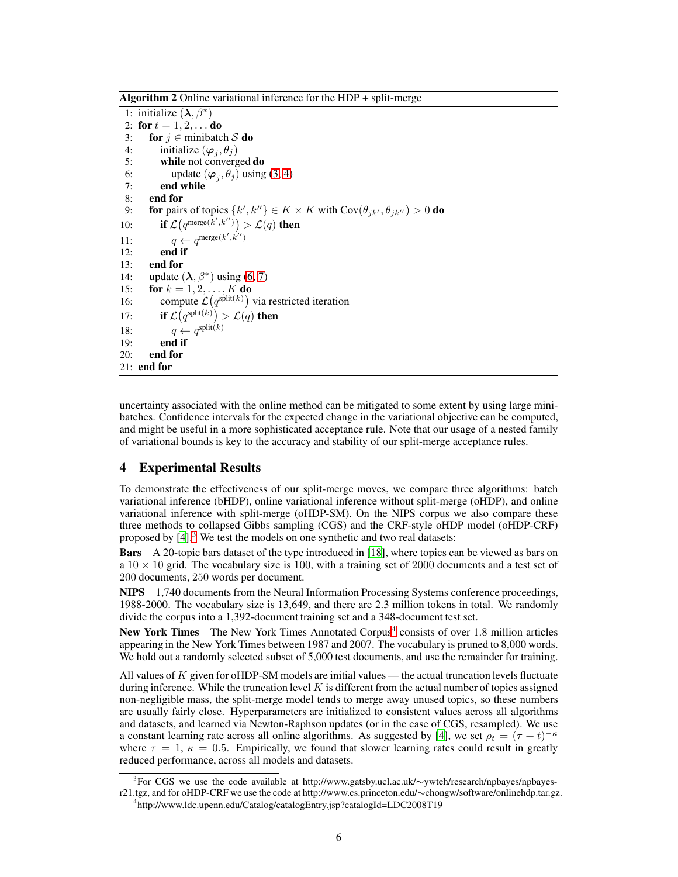Algorithm 2 Online variational inference for the HDP + split-merge

1: initialize  $(\lambda, \beta^*)$ 2: for  $t = 1, 2, ...$  do 3: for  $j \in$  minibatch S do 4: initialize  $(\varphi_j, \theta_j)$ 5: while not converged do 6: update  $(\varphi_j, \theta_j)$  using (3, 4) 7: end while 8: end for 9: **for** pairs of topics  $\{k', k''\} \in K \times K$  with  $Cov(\theta_{jk'}, \theta_{jk''}) > 0$  **do** 10: **if**  $\mathcal{L}(q^{\text{merge}(k',k'')}) > \mathcal{L}(q)$  then 11:  $q \leftarrow q^{\text{merge}(k',k'')}$  $12:$  end if 13: end for 14: update  $(\lambda, \beta^*)$  using (6, 7) 15: **for**  $k = 1, 2, ..., K$  **do** 16: compute  $\mathcal{L}(q^{\text{split}(k)})$  via restricted iteration 17: **if**  $\mathcal{L}(q^{\text{split}(k)}) > \mathcal{L}(q)$  then 18:  $q \leftarrow q^{\text{split}(k)}$ 19: end if 20: end for 21: end for

uncertainty associated with the online method can be mitigated to some extent by using large minibatches. Confidence intervals for the expected change in the variational objective can be computed, and might be useful in a more sophisticated acceptance rule. Note that our usage of a nested family of variational bounds is key to the accuracy and stability of our split-merge acceptance rules.

# 4 Experimental Results

To demonstrate the effectiveness of our split-merge moves, we compare three algorithms: batch variational inference (bHDP), online variational inference without split-merge (oHDP), and online variational inference with split-merge (oHDP-SM). On the NIPS corpus we also compare these three methods to collapsed Gibbs sampling (CGS) and the CRF-style oHDP model (oHDP-CRF) proposed by  $[4]$ <sup>3</sup>. We test the models on one synthetic and two real datasets:

Bars A 20-topic bars dataset of the type introduced in [18], where topics can be viewed as bars on a  $10 \times 10$  grid. The vocabulary size is 100, with a training set of 2000 documents and a test set of 200 documents, 250 words per document.

NIPS 1,740 documents from the Neural Information Processing Systems conference proceedings, 1988-2000. The vocabulary size is 13,649, and there are 2.3 million tokens in total. We randomly divide the corpus into a 1,392-document training set and a 348-document test set.

New York Times The New York Times Annotated Corpus<sup>4</sup> consists of over 1.8 million articles appearing in the New York Times between 1987 and 2007. The vocabulary is pruned to 8,000 words. We hold out a randomly selected subset of 5,000 test documents, and use the remainder for training.

All values of  $K$  given for oHDP-SM models are initial values — the actual truncation levels fluctuate during inference. While the truncation level  $K$  is different from the actual number of topics assigned non-negligible mass, the split-merge model tends to merge away unused topics, so these numbers are usually fairly close. Hyperparameters are initialized to consistent values across all algorithms and datasets, and learned via Newton-Raphson updates (or in the case of CGS, resampled). We use a constant learning rate across all online algorithms. As suggested by [4], we set  $\rho_t = (\tau + t)^{-\kappa}$ where  $\tau = 1$ ,  $\kappa = 0.5$ . Empirically, we found that slower learning rates could result in greatly reduced performance, across all models and datasets.

<sup>&</sup>lt;sup>3</sup>For CGS we use the code available at http://www.gatsby.ucl.ac.uk/∼ywteh/research/npbayes/npbayes-

r21.tgz, and for oHDP-CRF we use the code at http://www.cs.princeton.edu/∼chongw/software/onlinehdp.tar.gz. 4 http://www.ldc.upenn.edu/Catalog/catalogEntry.jsp?catalogId=LDC2008T19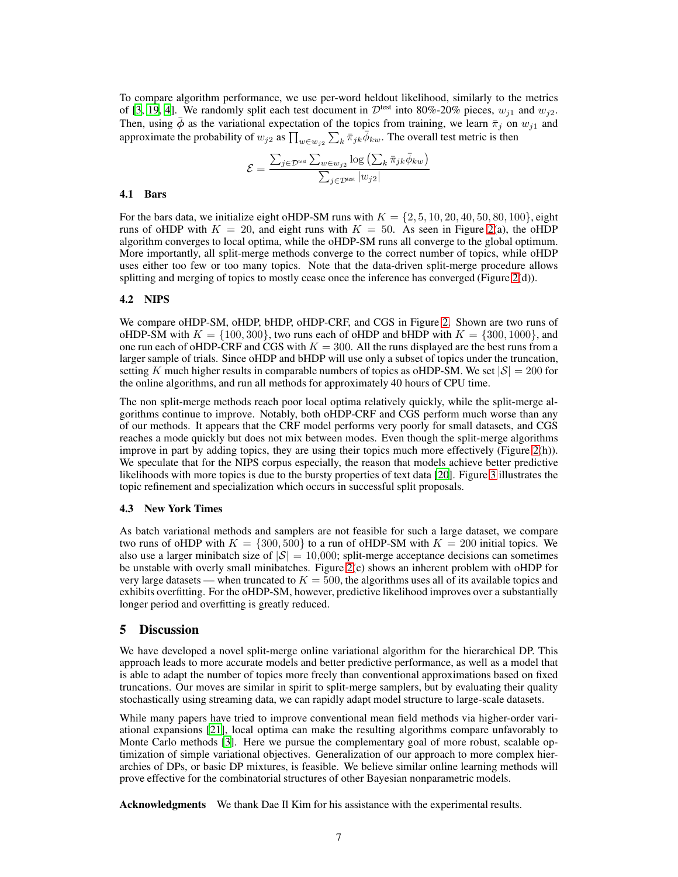To compare algorithm performance, we use per-word heldout likelihood, similarly to the metrics of [3, 19, 4]. We randomly split each test document in  $\mathcal{D}^{\text{test}}$  into 80%-20% pieces,  $w_{j1}$  and  $w_{j2}$ . Then, using  $\bar{\phi}$  as the variational expectation of the topics from training, we learn  $\bar{\pi}_j$  on  $w_{j1}$  and approximate the probability of  $w_{j2}$  as  $\prod_{w \in w_{j2}} \sum_k \overline{\pi}_{jk} \overline{\phi}_{kw}$ . The overall test metric is then

$$
\mathcal{E} = \frac{\sum_{j \in \mathcal{D}^{\text{test}}} \sum_{w \in w_{j2}} \log \left(\sum_k \bar{\pi}_{jk} \bar{\phi}_{kw}\right)}{\sum_{j \in \mathcal{D}^{\text{test}}} |w_{j2}|}
$$

#### 4.1 Bars

For the bars data, we initialize eight oHDP-SM runs with  $K = \{2, 5, 10, 20, 40, 50, 80, 100\}$ , eight runs of oHDP with  $K = 20$ , and eight runs with  $K = 50$ . As seen in Figure 2(a), the oHDP algorithm converges to local optima, while the oHDP-SM runs all converge to the global optimum. More importantly, all split-merge methods converge to the correct number of topics, while oHDP uses either too few or too many topics. Note that the data-driven split-merge procedure allows splitting and merging of topics to mostly cease once the inference has converged (Figure 2(d)).

# 4.2 NIPS

We compare oHDP-SM, oHDP, bHDP, oHDP-CRF, and CGS in Figure 2. Shown are two runs of oHDP-SM with  $K = \{100, 300\}$ , two runs each of oHDP and bHDP with  $K = \{300, 1000\}$ , and one run each of oHDP-CRF and CGS with  $K = 300$ . All the runs displayed are the best runs from a larger sample of trials. Since oHDP and bHDP will use only a subset of topics under the truncation, setting K much higher results in comparable numbers of topics as oHDP-SM. We set  $|\mathcal{S}| = 200$  for the online algorithms, and run all methods for approximately 40 hours of CPU time.

The non split-merge methods reach poor local optima relatively quickly, while the split-merge algorithms continue to improve. Notably, both oHDP-CRF and CGS perform much worse than any of our methods. It appears that the CRF model performs very poorly for small datasets, and CGS reaches a mode quickly but does not mix between modes. Even though the split-merge algorithms improve in part by adding topics, they are using their topics much more effectively (Figure 2(h)). We speculate that for the NIPS corpus especially, the reason that models achieve better predictive likelihoods with more topics is due to the bursty properties of text data [20]. Figure 3 illustrates the topic refinement and specialization which occurs in successful split proposals.

#### 4.3 New York Times

As batch variational methods and samplers are not feasible for such a large dataset, we compare two runs of oHDP with  $K = \{300, 500\}$  to a run of oHDP-SM with  $K = 200$  initial topics. We also use a larger minibatch size of  $|S| = 10,000$ ; split-merge acceptance decisions can sometimes be unstable with overly small minibatches. Figure 2(c) shows an inherent problem with oHDP for very large datasets — when truncated to  $K = 500$ , the algorithms uses all of its available topics and exhibits overfitting. For the oHDP-SM, however, predictive likelihood improves over a substantially longer period and overfitting is greatly reduced.

#### 5 Discussion

We have developed a novel split-merge online variational algorithm for the hierarchical DP. This approach leads to more accurate models and better predictive performance, as well as a model that is able to adapt the number of topics more freely than conventional approximations based on fixed truncations. Our moves are similar in spirit to split-merge samplers, but by evaluating their quality stochastically using streaming data, we can rapidly adapt model structure to large-scale datasets.

While many papers have tried to improve conventional mean field methods via higher-order variational expansions [21], local optima can make the resulting algorithms compare unfavorably to Monte Carlo methods [3]. Here we pursue the complementary goal of more robust, scalable optimization of simple variational objectives. Generalization of our approach to more complex hierarchies of DPs, or basic DP mixtures, is feasible. We believe similar online learning methods will prove effective for the combinatorial structures of other Bayesian nonparametric models.

Acknowledgments We thank Dae Il Kim for his assistance with the experimental results.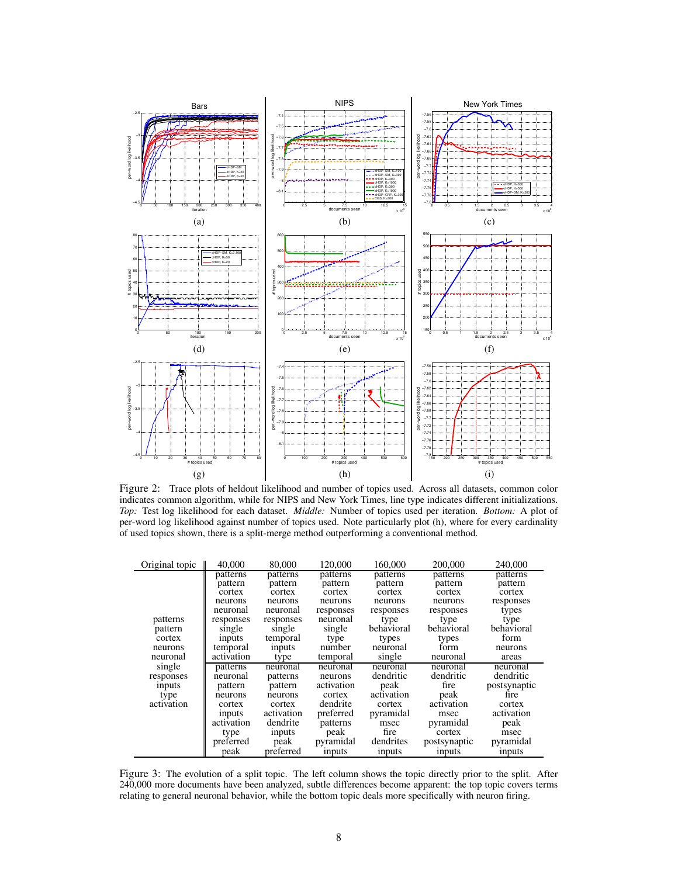

Figure 2: Trace plots of heldout likelihood and number of topics used. Across all datasets, common color indicates common algorithm, while for NIPS and New York Times, line type indicates different initializations. *Top:* Test log likelihood for each dataset. *Middle:* Number of topics used per iteration. *Bottom:* A plot of per-word log likelihood against number of topics used. Note particularly plot (h), where for every cardinality of used topics shown, there is a split-merge method outperforming a conventional method.

| Original topic | 40,000        | 80,000     | 120,000    | 160,000    | 200,000       | 240,000       |
|----------------|---------------|------------|------------|------------|---------------|---------------|
|                | patterns      | patterns   | patterns   | patterns   | patterns      | patterns      |
|                | pattern       | pattern    | pattern    | pattern    | pattern       | pattern       |
|                | cortex        | cortex     | cortex     | cortex     | cortex        | cortex        |
|                | neurons       | neurons    | neurons    | neurons    | neurons       | responses     |
|                | neuronal      | neuronal   | responses  | responses  | responses     | types         |
| patterns       | responses     | responses  | neuronal   | type       | type          | type          |
| pattern        | single        | single     | single     | behavioral | behavioral    | behavioral    |
| cortex         | <i>inputs</i> | temporal   | type       | types      | types         | form          |
| neurons        | temporal      | inputs     | number     | neuronal   | form          | neurons       |
| neuronal       | activation    | type       | temporal   | single     | neuronal      | areas         |
| single         | patterns      | neuronal   | neuronal   | neuronal   | neuronal      | neuronal      |
| responses      | neuronal      | patterns   | neurons    | dendritic  | dendritic     | dendritic     |
| inputs         | pattern       | pattern    | activation | peak       | fire          | postsynaptic  |
| type           | neurons       | neurons    | cortex     | activation | peak          | fire          |
| activation     | cortex        | cortex     | dendrite   | cortex     | activation    | cortex        |
|                | inputs        | activation | preferred  | pyramidal  | msec          | activation    |
|                | activation    | dendrite   | patterns   | msec       | pyramidal     | peak          |
|                | type          | inputs     | peak       | fire       | cortex        | msec          |
|                | preferred     | peak       | pyramidal  | dendrites  | postsynaptic  | pyramidal     |
|                | peak          | preferred  | inputs     | inputs     | <i>inputs</i> | <i>inputs</i> |

Figure 3: The evolution of a split topic. The left column shows the topic directly prior to the split. After 240,000 more documents have been analyzed, subtle differences become apparent: the top topic covers terms relating to general neuronal behavior, while the bottom topic deals more specifically with neuron firing.